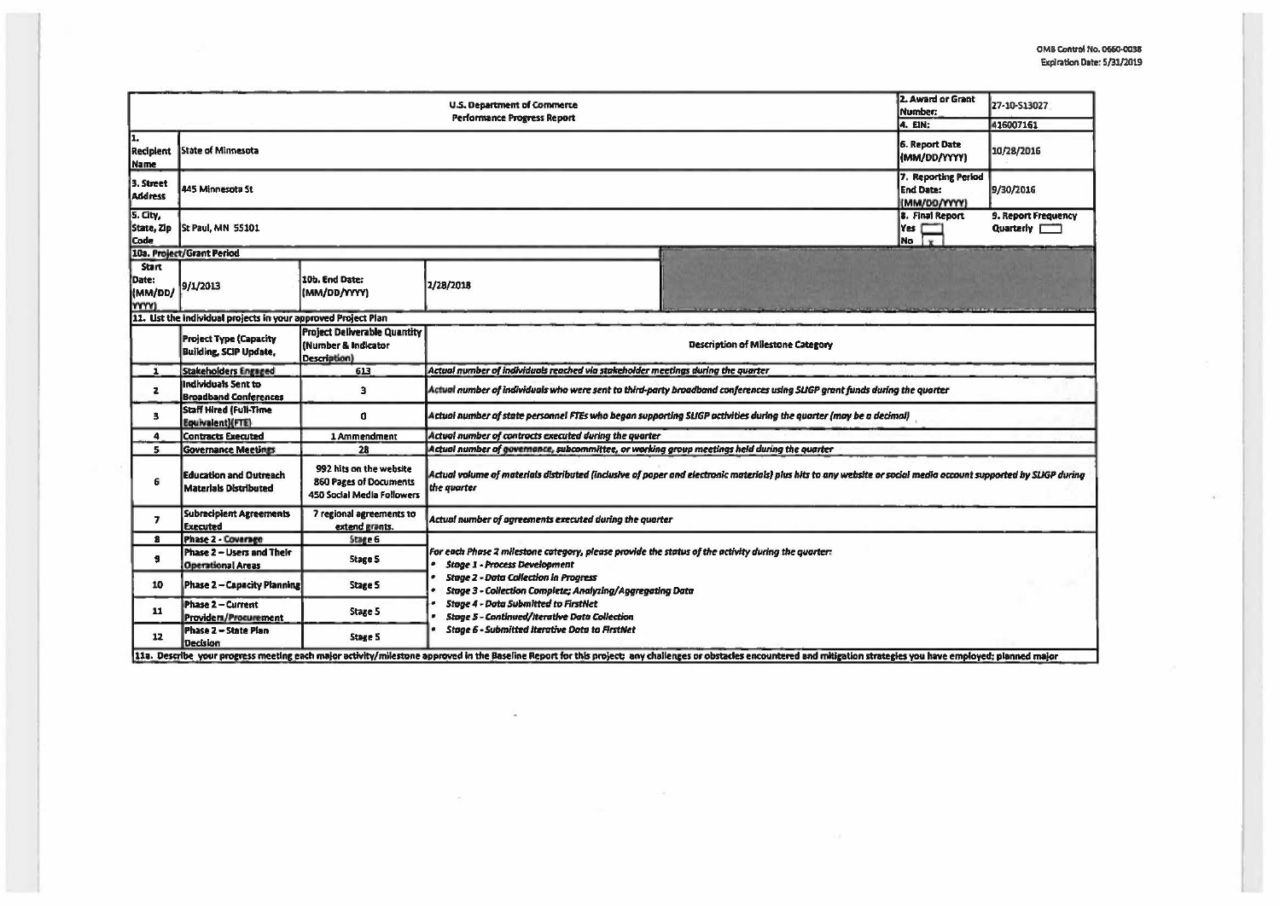$\sqrt{2}$ 

|                                                 |                                                                | 2. Award or Grant<br>Number:<br>4. EIN:                                                                                                                                                                                                  | 27-10-513027<br>416007161                                                                                                                                                                                                                                                                                                                                                                                               |  |  |  |  |  |
|-------------------------------------------------|----------------------------------------------------------------|------------------------------------------------------------------------------------------------------------------------------------------------------------------------------------------------------------------------------------------|-------------------------------------------------------------------------------------------------------------------------------------------------------------------------------------------------------------------------------------------------------------------------------------------------------------------------------------------------------------------------------------------------------------------------|--|--|--|--|--|
| Iı.<br><b>Recipient</b><br><b>Name</b>          | State of Minnesota                                             | 6. Report Date<br>(MM/DD/YYYY)                                                                                                                                                                                                           | 10/28/2016                                                                                                                                                                                                                                                                                                                                                                                                              |  |  |  |  |  |
| 3. Street<br><b>Address</b>                     | 445 Minnesota St                                               | 7. Reporting Period<br><b>End Date:</b><br>(MM/DD/YYYY)                                                                                                                                                                                  | 9/30/2016                                                                                                                                                                                                                                                                                                                                                                                                               |  |  |  |  |  |
| 5. City,<br>State, Zip<br>Code                  | St Paul, MN 55101                                              | 8. Final Report<br>Yes<br>No I v                                                                                                                                                                                                         | 9. Report Frequency<br>Quarterly [777]                                                                                                                                                                                                                                                                                                                                                                                  |  |  |  |  |  |
|                                                 | 10a. Project/Grant Period                                      |                                                                                                                                                                                                                                          |                                                                                                                                                                                                                                                                                                                                                                                                                         |  |  |  |  |  |
| <b>Start</b><br>Date:<br>(MM/DD/<br><b>YYYY</b> | 9/1/2013                                                       | 10b. End Date:<br>(MM/DD/YYYY)                                                                                                                                                                                                           | 2/28/2018                                                                                                                                                                                                                                                                                                                                                                                                               |  |  |  |  |  |
|                                                 | 11. List the individual projects in your approved Project Plan |                                                                                                                                                                                                                                          |                                                                                                                                                                                                                                                                                                                                                                                                                         |  |  |  |  |  |
|                                                 | <b>Project Type (Capacity</b><br><b>Building, SCIP Update,</b> | <b>Project Deliverable Quantity</b><br>(Number & Indicator<br>Description)                                                                                                                                                               | <b>Description of Milestone Category</b>                                                                                                                                                                                                                                                                                                                                                                                |  |  |  |  |  |
| $\mathbf{1}$                                    | <b>Stakeholders Engaged</b>                                    | 613                                                                                                                                                                                                                                      | Actual number of individuals reached via stakeholder meetings during the quarter                                                                                                                                                                                                                                                                                                                                        |  |  |  |  |  |
| $\mathbf{z}$                                    | Individuals Sent to<br><b>Broadband Conferences</b>            | 3                                                                                                                                                                                                                                        | Actual number of individuals who were sent to third-party broadband conferences using SLIGP grant funds during the quorter                                                                                                                                                                                                                                                                                              |  |  |  |  |  |
| з                                               | <b>Staff Hired (Full-Time</b><br>Equivalent)(FTE)              | $\Omega$                                                                                                                                                                                                                                 | Actual number of state personnel FTEs who began supporting SLIGP activities during the quarter (may be a decimal)                                                                                                                                                                                                                                                                                                       |  |  |  |  |  |
| $\ddot{\phantom{a}}$                            | <b>Contracts Executed</b>                                      | 1 Ammendment                                                                                                                                                                                                                             | Actual number of contracts executed during the quarter                                                                                                                                                                                                                                                                                                                                                                  |  |  |  |  |  |
| 5                                               | <b>Governance Meetings</b>                                     | 28                                                                                                                                                                                                                                       | Actual number of governance, subcommittee, or working group meetings held during the quarter                                                                                                                                                                                                                                                                                                                            |  |  |  |  |  |
| 6                                               | <b>Education and Outreach</b><br><b>Materials Distributed</b>  | 992 hits on the website<br><b>860 Pages of Documents</b><br>450 Social Media Followers                                                                                                                                                   | Actual volume of materials distributed (inclusive of paper and electronic materials) plus hits to any website or social media account supported by SLIGP during<br>the quarter                                                                                                                                                                                                                                          |  |  |  |  |  |
| $\overline{ }$                                  | <b>Subrecipient Agreements</b><br><b>Executed</b>              | 7 regional agreements to<br>extend grants.                                                                                                                                                                                               | Actual number of agreements executed during the quarter                                                                                                                                                                                                                                                                                                                                                                 |  |  |  |  |  |
| $\mathbf{B}$                                    | <b>Phase 2 - Coverage</b>                                      | Stage 6                                                                                                                                                                                                                                  |                                                                                                                                                                                                                                                                                                                                                                                                                         |  |  |  |  |  |
| 9                                               | Phase 2 - Users and Their<br><b>Operational Areas</b>          | <b>Stage 5</b>                                                                                                                                                                                                                           | For each Phase 2 milestone category, please provide the status of the activity during the quarter:<br><b>Stage 1 - Process Development</b><br><b>Stage 2 - Data Collection in Progress</b><br>Stage 3 - Collection Complete; Analyzing/Aggregating Data<br><b>Stage 4 - Data Submitted to FirstNet</b><br><b>Stage 5 - Continued/Iterative Data Collection</b><br><b>Stage 6 - Submitted Iterative Data to FirstNet</b> |  |  |  |  |  |
| 10                                              | Phase 2 - Capacity Planning                                    | <b>Stage S</b>                                                                                                                                                                                                                           |                                                                                                                                                                                                                                                                                                                                                                                                                         |  |  |  |  |  |
| 11                                              | Phase 2 - Current<br>Providers/Procurement                     | <b>Stage S</b>                                                                                                                                                                                                                           |                                                                                                                                                                                                                                                                                                                                                                                                                         |  |  |  |  |  |
| 12                                              | Phase 2 - State Plan<br><b>Decision</b>                        | <b>Stage 5</b><br>11a. Describe your progress meeting each major activity/milestone approved in the Baseline Report for this project; any challenges or obstacles encountered and mitigation strategies you have employed; planned major |                                                                                                                                                                                                                                                                                                                                                                                                                         |  |  |  |  |  |

 $\sim$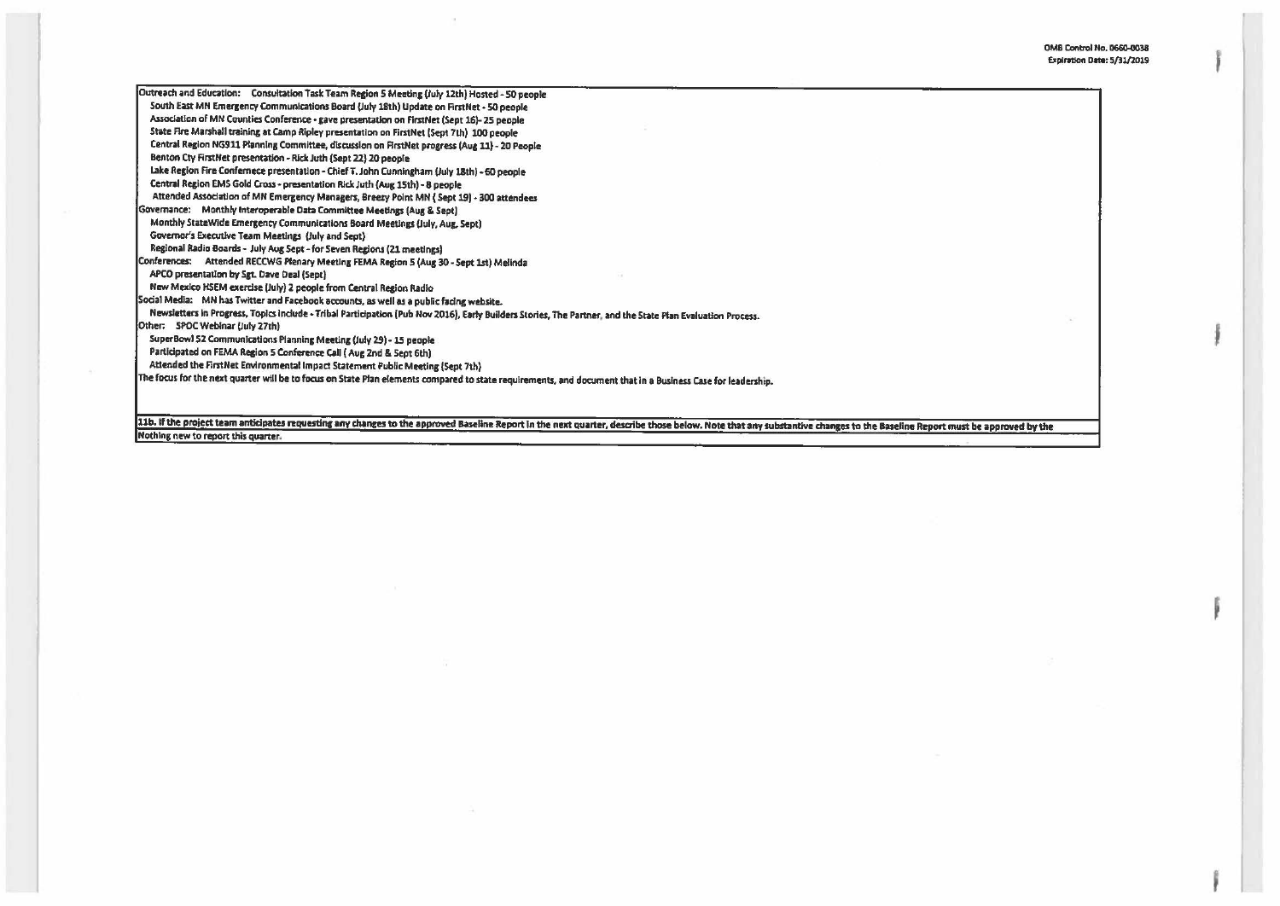| Outreach and Education: Consultation Task Team Region 5 Meeting (July 12th) Hosted - 50 people                                                              |
|-------------------------------------------------------------------------------------------------------------------------------------------------------------|
| South East MN Emergency Communications Board (July 18th) Update on FirstNet - 50 people                                                                     |
| Association of MN Counties Conference - gave presentation on FirstNet (Sept 16)-25 people                                                                   |
| State Fire Marshall training at Camp Ripley presentation on FirstNet (Sept 7th) 100 people                                                                  |
| Central Region NG911 Planning Committee, discussion on FirstNet progress (Aug 11) - 20 People                                                               |
| Benton Cty FirstNet presentation - Rick Juth (Sept 22) 20 people                                                                                            |
| Lake Region Fire Confernece presentation - Chief T. John Cunningham (July 18th) - 60 people                                                                 |
| Central Region EMS Gold Cross - presentation Rick Juth (Aug 15th) - 8 people                                                                                |
| Attended Association of MN Emergency Managers, Breery Point MN (Sept 19) - 300 attendees                                                                    |
| Governance: Monthly Interoperable Data Committee Meetings (Aug & Sept)                                                                                      |
| Monthly StateWide Emergency Communications Board Meetings (July, Aug, Sept)                                                                                 |
| Governor's Executive Team Meetings (July and Sept)                                                                                                          |
| Regional Radio Boards - July Aug Sept - for Seven Regions (21 meetings)                                                                                     |
| Conferences: Attended RECCWG Plenary Meeting FEMA Region 5 (Aug 30 - Sept 1st) Melinda                                                                      |
| APCO presentation by Sgt. Dave Deal (Sept)                                                                                                                  |
| New Mexico HSEM exercise (July) 2 people from Central Region Radio                                                                                          |
| Social Media: MN has Twitter and Facebook accounts, as well as a public facing website.                                                                     |
| Newsletters in Progress, Topics include - Tribal Participation (Pub Nov 2016), Early Builders Stories, The Partner, and the State Plan Evaluation Process.  |
| Other: SPOC Webinar (July 27th)                                                                                                                             |
| SuperBowl 52 Communications Planning Meeting (July 29) - 15 people                                                                                          |
| Participated on FEMA Region 5 Conference Call (Aug 2nd & Sept 6th)                                                                                          |
| Attended the FirstNet Environmental Impact Statement Public Meeting (Sept 7th)                                                                              |
| The focus for the next quarter will be to focus on State Plan elements compared to state requirements, and document that in a Business Case for leadership. |
|                                                                                                                                                             |
|                                                                                                                                                             |
|                                                                                                                                                             |

 $\alpha$ 

11b. If the project team anticipates requesting any changes to the approved Baseline Report in the next quarter, describe those below. Note that any substantive changes to the Baseline Report must be approved by the Nothin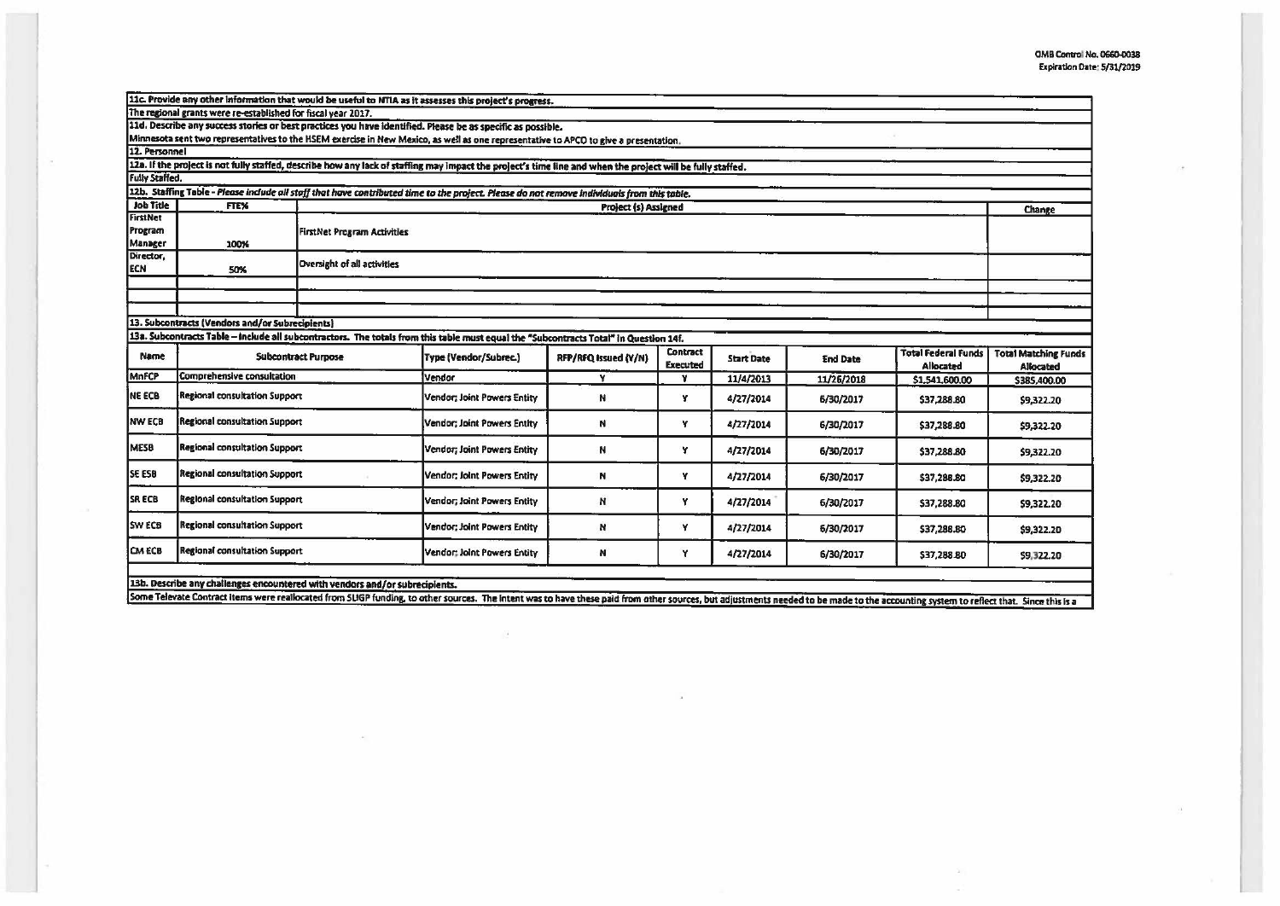$(8)$ 

 $\sim 1$ 

| 11c. Provide any other information that would be useful to NTIA as it assesses this project's progress.                                                         |                                                               |                                                                             |                                                                                                                                                            |                      |                                    |                   |                 |                                  |                                          |
|-----------------------------------------------------------------------------------------------------------------------------------------------------------------|---------------------------------------------------------------|-----------------------------------------------------------------------------|------------------------------------------------------------------------------------------------------------------------------------------------------------|----------------------|------------------------------------|-------------------|-----------------|----------------------------------|------------------------------------------|
|                                                                                                                                                                 | The regional grants were re-established for fiscal year 2017. |                                                                             |                                                                                                                                                            |                      |                                    |                   |                 |                                  |                                          |
|                                                                                                                                                                 |                                                               |                                                                             | 11d. Describe any success stories or best practices you have identified. Please be as specific as possible.                                                |                      |                                    |                   |                 |                                  |                                          |
|                                                                                                                                                                 |                                                               |                                                                             | Minnesota sent two representatives to the HSEM exercise in New Mexico, as well as one representative to APCO to give a presentation.                       |                      |                                    |                   |                 |                                  |                                          |
| 12. Personnel                                                                                                                                                   |                                                               |                                                                             |                                                                                                                                                            |                      |                                    |                   |                 |                                  |                                          |
|                                                                                                                                                                 |                                                               |                                                                             | 12a. If the project is not fully staffed, describe how any lack of staffing may impact the project's time line and when the project will be fully staffed. |                      |                                    |                   |                 |                                  |                                          |
| <b>Fully Staffed.</b>                                                                                                                                           |                                                               |                                                                             |                                                                                                                                                            |                      |                                    |                   |                 |                                  |                                          |
| 12b. Staffing Table - Please include all staff that have contributed time to the project. Please do not remove individuals from this table.<br><b>Job Title</b> |                                                               |                                                                             |                                                                                                                                                            |                      |                                    |                   |                 |                                  |                                          |
| <b>FirstNet</b>                                                                                                                                                 | FTE%<br><b>Project (s) Assigned</b><br>Change                 |                                                                             |                                                                                                                                                            |                      |                                    |                   |                 |                                  |                                          |
| Program                                                                                                                                                         |                                                               |                                                                             |                                                                                                                                                            |                      |                                    |                   |                 |                                  |                                          |
| Manager                                                                                                                                                         | 100%                                                          |                                                                             | <b>FirstNet Program Activities</b>                                                                                                                         |                      |                                    |                   |                 |                                  |                                          |
| Director,                                                                                                                                                       |                                                               |                                                                             |                                                                                                                                                            |                      |                                    |                   |                 |                                  |                                          |
| <b>ECN</b>                                                                                                                                                      | 50%                                                           | <b>Oversight of all activities</b>                                          |                                                                                                                                                            |                      |                                    |                   |                 |                                  |                                          |
|                                                                                                                                                                 |                                                               |                                                                             |                                                                                                                                                            |                      |                                    |                   |                 |                                  |                                          |
|                                                                                                                                                                 |                                                               |                                                                             |                                                                                                                                                            |                      |                                    |                   |                 |                                  |                                          |
|                                                                                                                                                                 |                                                               |                                                                             |                                                                                                                                                            |                      |                                    |                   |                 |                                  |                                          |
|                                                                                                                                                                 | 13. Subcontracts (Vendors and/or Subrecipients)               |                                                                             |                                                                                                                                                            |                      |                                    |                   |                 |                                  |                                          |
|                                                                                                                                                                 |                                                               |                                                                             | 13a. Subcontracts Table - Include all subcontractors. The totals from this table must equal the "Subcontracts Total" in Question 14f.                      |                      |                                    |                   |                 |                                  |                                          |
| <b>Name</b>                                                                                                                                                     | <b>Subcontract Purpose</b>                                    |                                                                             | Type (Vendor/Subrec.)                                                                                                                                      | RFP/RFQ Issued (Y/N) | <b>Contract</b><br><b>Executed</b> | <b>Start Date</b> | <b>End Date</b> | Total Federal Funds<br>Allocated | <b>Total Matching Funds</b><br>Allocated |
| MnFCP                                                                                                                                                           | <b>Comprehensive consultation</b>                             |                                                                             | Vendor                                                                                                                                                     | Y                    | M                                  | 11/4/2013         | 11/26/2018      | \$1,541,600.00                   | \$385,400.00                             |
| <b>NE ECB</b>                                                                                                                                                   | <b>Regional consultation Support</b>                          |                                                                             | <b>Vendor; Joint Powers Entity</b>                                                                                                                         | N                    | Y                                  | 4/27/2014         | 6/30/2017       | \$37,288.80                      | \$9,322.20                               |
| <b>NW ECB</b>                                                                                                                                                   | Regional consultation Support                                 |                                                                             | Vendor; Joint Powers Entity                                                                                                                                | N                    | Y                                  | 4/27/2014         | 6/30/2017       | \$37,288.80                      | \$9,322.20                               |
| <b>MESB</b>                                                                                                                                                     | <b>Regional consultation Support</b>                          |                                                                             |                                                                                                                                                            |                      |                                    |                   |                 |                                  |                                          |
|                                                                                                                                                                 |                                                               |                                                                             | Vendor; Joint Powers Entity                                                                                                                                | N                    | Y                                  | 4/27/2014         | 6/30/2017       | \$37,288.80                      | \$9,322.20                               |
| <b>SE ESB</b>                                                                                                                                                   | <b>Regional consultation Support</b>                          |                                                                             | Vendor; Joint Powers Entity                                                                                                                                | N                    | Y                                  | 4/27/2014         | 6/30/2017       | \$37,288.80                      | \$9,322.20                               |
| <b>SRECB</b>                                                                                                                                                    | Regional consultation Support                                 |                                                                             | Vendor; Joint Powers Entity                                                                                                                                | N                    | Y                                  | 4/27/2014         | 6/30/2017       | \$37,288.80                      | \$9,322.20                               |
| <b>SW ECB</b>                                                                                                                                                   | <b>Regional consultation Support</b>                          |                                                                             | Vendor; Joint Powers Entity                                                                                                                                | N                    | Y                                  | 4/27/2014         | 6/30/2017       | \$37,288.80                      | \$9,322.20                               |
| <b>CM ECB</b>                                                                                                                                                   | Regional consultation Support                                 |                                                                             | Vendor: Joint Powers Entity                                                                                                                                | N                    | ٧                                  | 4/27/2014         | 6/30/2017       | \$37,288.80                      | \$9,322.20                               |
|                                                                                                                                                                 |                                                               | 13b. Describe any challenges encountered with vendors and/or subrecipients. |                                                                                                                                                            |                      |                                    |                   |                 |                                  |                                          |

 $\sim$ 

Some Televate Contract items were reallocated from SUGP funding, to other sources. The intent was to have these paid from other sources, but adjustments needed to be made to the accounting system to reflect that. Since thi

 $\alpha$ 

39

 $\langle H \rangle$